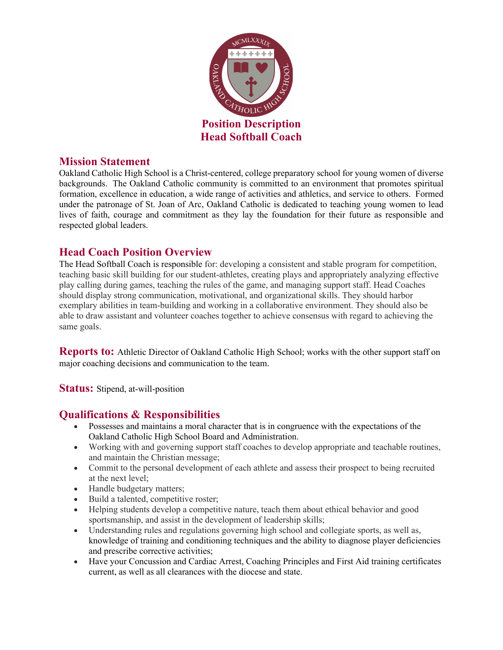

#### **Mission Statement**

Oakland Catholic High School is a Christ-centered, college preparatory school for young women of diverse backgrounds. The Oakland Catholic community is committed to an environment that promotes spiritual formation, excellence in education, a wide range of activities and athletics, and service to others. Formed under the patronage of St. Joan of Arc, Oakland Catholic is dedicated to teaching young women to lead lives of faith, courage and commitment as they lay the foundation for their future as responsible and respected global leaders.

### **Head Coach Position Overview**

The Head Softball Coach is responsible for: developing a consistent and stable program for competition, teaching basic skill building for our student-athletes, creating plays and appropriately analyzing effective play calling during games, teaching the rules of the game, and managing support staff. Head Coaches should display strong communication, motivational, and organizational skills. They should harbor exemplary abilities in team-building and working in a collaborative environment. They should also be able to draw assistant and volunteer coaches together to achieve consensus with regard to achieving the same goals.

**Reports to:** Athletic Director of Oakland Catholic High School; works with the other support staff on major coaching decisions and communication to the team.

**Status:** Stipend, at-will-position

# **Qualifications & Responsibilities**

- Possesses and maintains a moral character that is in congruence with the expectations of the Oakland Catholic High School Board and Administration.
- Working with and governing support staff coaches to develop appropriate and teachable routines, and maintain the Christian message;
- Commit to the personal development of each athlete and assess their prospect to being recruited at the next level;
- Handle budgetary matters;
- Build a talented, competitive roster;
- Helping students develop a competitive nature, teach them about ethical behavior and good sportsmanship, and assist in the development of leadership skills;
- Understanding rules and regulations governing high school and collegiate sports, as well as, knowledge of training and conditioning techniques and the ability to diagnose player deficiencies and prescribe corrective activities;
- Have your Concussion and Cardiac Arrest, Coaching Principles and First Aid training certificates current, as well as all clearances with the diocese and state.